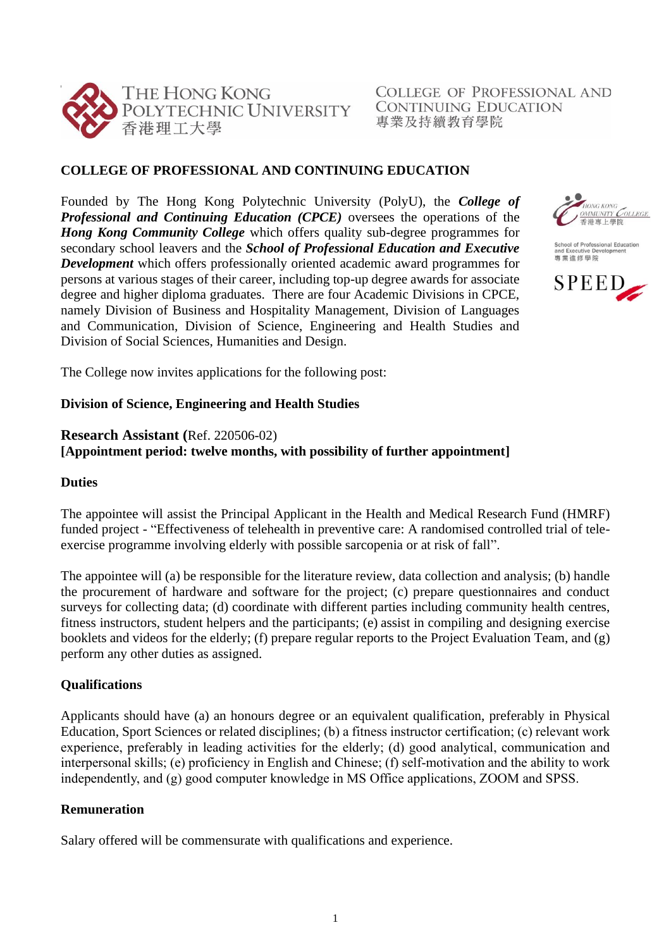

COLLEGE OF PROFESSIONAL AND **CONTINUING EDUCATION** 專業及持續教育學院

# **COLLEGE OF PROFESSIONAL AND CONTINUING EDUCATION**

Founded by The Hong Kong Polytechnic University (PolyU), the *College of Professional and Continuing Education (CPCE)* oversees the operations of the *Hong Kong Community College* which offers quality sub-degree programmes for secondary school leavers and the *School of Professional Education and Executive Development* which offers professionally oriented academic award programmes for persons at various stages of their career, including top-up degree awards for associate degree and higher diploma graduates. There are four Academic Divisions in CPCE, namely Division of Business and Hospitality Management, Division of Languages and Communication, Division of Science, Engineering and Health Studies and Division of Social Sciences, Humanities and Design.



School of Professional Education<br>and Executive Development<br>專業進修學院



The College now invites applications for the following post:

#### **Division of Science, Engineering and Health Studies**

## **Research Assistant (**Ref. 220506-02)

# **[Appointment period: twelve months, with possibility of further appointment]**

#### **Duties**

The appointee will assist the Principal Applicant in the Health and Medical Research Fund (HMRF) funded project - "Effectiveness of telehealth in preventive care: A randomised controlled trial of teleexercise programme involving elderly with possible sarcopenia or at risk of fall".

The appointee will (a) be responsible for the literature review, data collection and analysis; (b) handle the procurement of hardware and software for the project; (c) prepare questionnaires and conduct surveys for collecting data; (d) coordinate with different parties including community health centres, fitness instructors, student helpers and the participants; (e) assist in compiling and designing exercise booklets and videos for the elderly; (f) prepare regular reports to the Project Evaluation Team, and (g) perform any other duties as assigned.

## **Qualifications**

Applicants should have (a) an honours degree or an equivalent qualification, preferably in Physical Education, Sport Sciences or related disciplines; (b) a fitness instructor certification; (c) relevant work experience, preferably in leading activities for the elderly; (d) good analytical, communication and interpersonal skills; (e) proficiency in English and Chinese; (f) self-motivation and the ability to work independently, and (g) good computer knowledge in MS Office applications, ZOOM and SPSS.

## **Remuneration**

Salary offered will be commensurate with qualifications and experience.